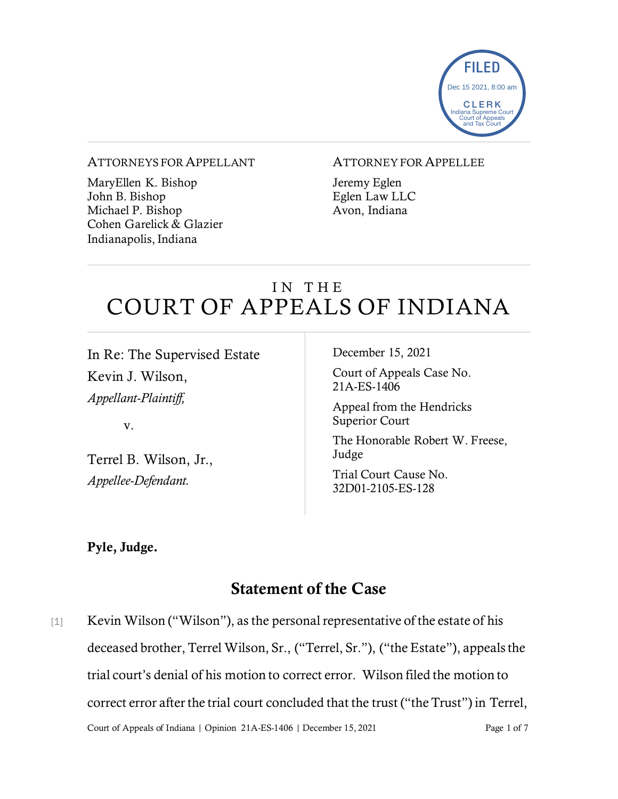

#### ATTORNEYS FOR APPELLANT

MaryEllen K. Bishop John B. Bishop Michael P. Bishop Cohen Garelick & Glazier Indianapolis, Indiana

#### ATTORNEY FOR APPELLEE

Jeremy Eglen Eglen Law LLC Avon, Indiana

# IN THE COURT OF APPEALS OF INDIANA

In Re: The Supervised Estate Kevin J. Wilson, *Appellant-Plaintiff,*

v.

Terrel B. Wilson, Jr., *Appellee-Defendant.*

December 15, 2021

Court of Appeals Case No. 21A-ES-1406

Appeal from the Hendricks Superior Court

The Honorable Robert W. Freese, Judge

Trial Court Cause No. 32D01-2105-ES-128

## Pyle, Judge.

# Statement of the Case

Court of Appeals of Indiana | Opinion 21A-ES-1406 | December 15, 2021 Page 1 of 7 [1] Kevin Wilson ("Wilson"), as the personal representative of the estate of his deceased brother, Terrel Wilson, Sr., ("Terrel, Sr."), ("the Estate"), appeals the trial court's denial of his motion to correct error. Wilson filed the motion to correct error after the trial court concluded that the trust ("the Trust") in Terrel,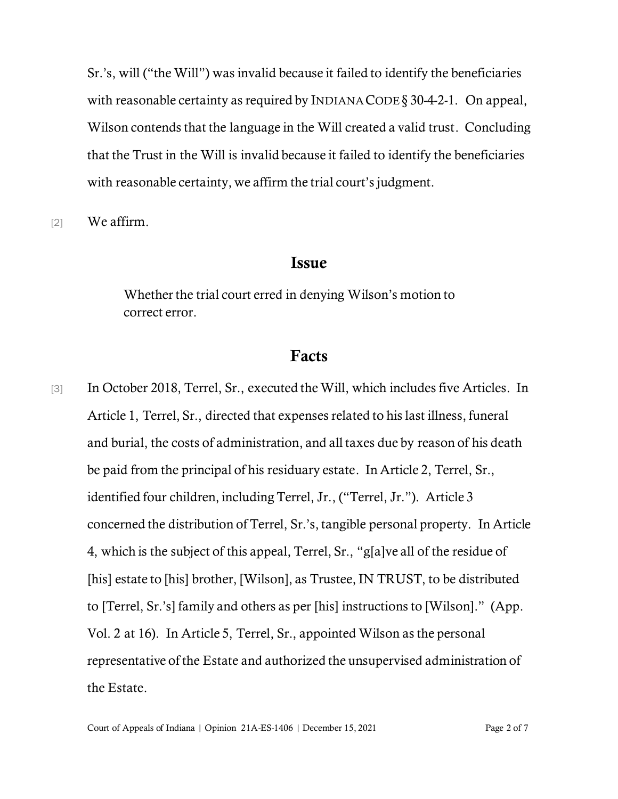Sr.'s, will ("the Will") was invalid because it failed to identify the beneficiaries with reasonable certainty as required by INDIANA CODE § 30-4-2-1. On appeal, Wilson contends that the language in the Will created a valid trust. Concluding that the Trust in the Will is invalid because it failed to identify the beneficiaries with reasonable certainty, we affirm the trial court's judgment.

[2] We affirm.

### Issue

Whether the trial court erred in denying Wilson's motion to correct error.

## Facts

[3] In October 2018, Terrel, Sr., executed the Will, which includes five Articles. In Article 1, Terrel, Sr., directed that expenses related to his last illness, funeral and burial, the costs of administration, and all taxes due by reason of his death be paid from the principal of his residuary estate. In Article 2, Terrel, Sr., identified four children, including Terrel, Jr., ("Terrel, Jr."). Article 3 concerned the distribution of Terrel, Sr.'s, tangible personal property. In Article 4, which is the subject of this appeal, Terrel, Sr., "g[a]ve all of the residue of [his] estate to [his] brother, [Wilson], as Trustee, IN TRUST, to be distributed to [Terrel, Sr.'s] family and others as per [his] instructions to [Wilson]." (App. Vol. 2 at 16). In Article 5, Terrel, Sr., appointed Wilson as the personal representative of the Estate and authorized the unsupervised administration of the Estate.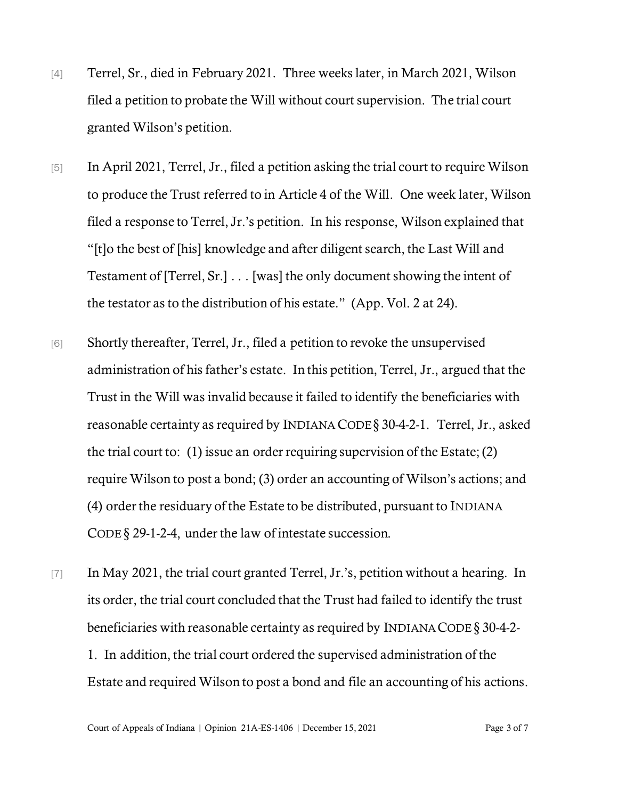- [4] Terrel, Sr., died in February 2021. Three weeks later, in March 2021, Wilson filed a petition to probate the Will without court supervision. The trial court granted Wilson's petition.
- [5] In April 2021, Terrel, Jr., filed a petition asking the trial court to require Wilson to produce the Trust referred to in Article 4 of the Will. One week later, Wilson filed a response to Terrel, Jr.'s petition. In his response, Wilson explained that "[t]o the best of [his] knowledge and after diligent search, the Last Will and Testament of [Terrel, Sr.] . . . [was] the only document showing the intent of the testator as to the distribution of his estate." (App. Vol. 2 at 24).
- [6] Shortly thereafter, Terrel, Jr., filed a petition to revoke the unsupervised administration of his father's estate. In this petition, Terrel, Jr., argued that the Trust in the Will was invalid because it failed to identify the beneficiaries with reasonable certainty as required by INDIANA CODE§ 30-4-2-1. Terrel, Jr., asked the trial court to: (1) issue an order requiring supervision of the Estate; (2) require Wilson to post a bond; (3) order an accounting of Wilson's actions; and (4) order the residuary of the Estate to be distributed, pursuant to INDIANA CODE § 29-1-2-4, under the law of intestate succession.
- [7] In May 2021, the trial court granted Terrel, Jr.'s, petition without a hearing. In its order, the trial court concluded that the Trust had failed to identify the trust beneficiaries with reasonable certainty as required by INDIANACODE § 30-4-2- 1. In addition, the trial court ordered the supervised administration of the Estate and required Wilson to post a bond and file an accounting of his actions.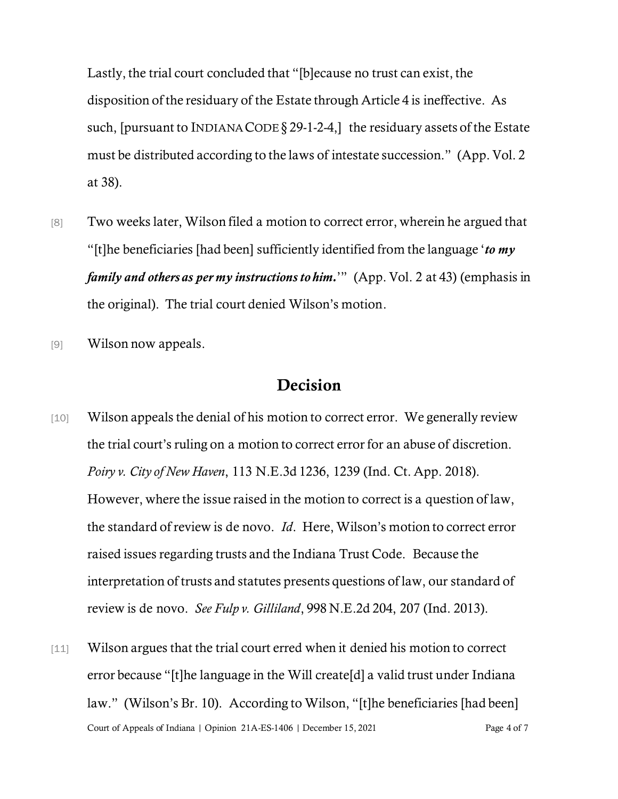Lastly, the trial court concluded that "[b]ecause no trust can exist, the disposition of the residuary of the Estate through Article 4 is ineffective. As such, [pursuant to INDIANA CODE  $\S$  29-1-2-4,] the residuary assets of the Estate must be distributed according to the laws of intestate succession." (App. Vol. 2 at 38).

- [8] Two weeks later, Wilson filed a motion to correct error, wherein he argued that "[t]he beneficiaries [had been] sufficiently identified from the language '*to my family and others as per my instructions to him.*'" (App. Vol. 2 at 43) (emphasis in the original). The trial court denied Wilson's motion.
- [9] Wilson now appeals.

# Decision

- [10] Wilson appeals the denial of his motion to correct error. We generally review the trial court's ruling on a motion to correct error for an abuse of discretion. *Poiry v. City of New Haven*, 113 N.E.3d 1236, 1239 (Ind. Ct. App. 2018). However, where the issue raised in the motion to correct is a question of law, the standard of review is de novo. *Id*. Here, Wilson's motion to correct error raised issues regarding trusts and the Indiana Trust Code. Because the interpretation of trusts and statutes presents questions of law, our standard of review is de novo. *See Fulp v. Gilliland*, 998 N.E.2d 204, 207 (Ind. 2013).
- Court of Appeals of Indiana | Opinion 21A-ES-1406 | December 15, 2021 Page 4 of 7 [11] Wilson argues that the trial court erred when it denied his motion to correct error because "[t]he language in the Will create[d] a valid trust under Indiana law." (Wilson's Br. 10). According to Wilson, "[t]he beneficiaries [had been]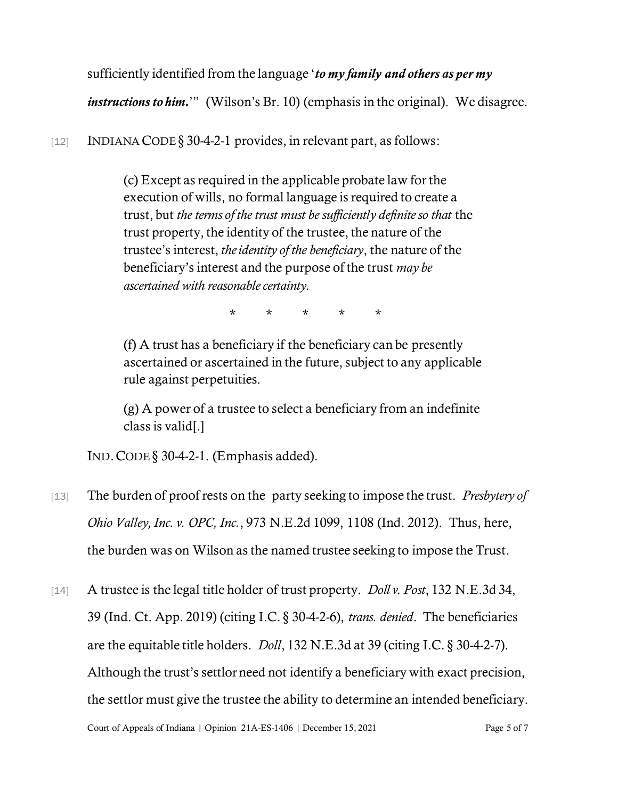sufficiently identified from the language '*to my family and others as per my* 

*instructions to him.*" (Wilson's Br. 10) (emphasis in the original). We disagree.

[12] INDIANA CODE § 30-4-2-1 provides, in relevant part, as follows:

(c) Except as required in the applicable probate law for the execution of wills, no formal language is required to create a trust, but *the terms of the trust must be sufficiently definite so that* the trust property, the identity of the trustee, the nature of the trustee's interest, *the identity of the beneficiary*, the nature of the beneficiary's interest and the purpose of the trust *may be ascertained with reasonable certainty.*

\* \* \* \* \*

(f) A trust has a beneficiary if the beneficiary can be presently ascertained or ascertained in the future, subject to any applicable rule against perpetuities.

(g) A power of a trustee to select a beneficiary from an indefinite class is valid[.]

IND.CODE § 30-4-2-1. (Emphasis added).

- [13] The burden of proof rests on the party seeking to impose the trust. *Presbytery of Ohio Valley, Inc. v. OPC, Inc.*, 973 N.E.2d 1099, 1108 (Ind. 2012). Thus, here, the burden was on Wilson as the named trustee seeking to impose the Trust.
- [14] A trustee is the legal title holder of trust property. *Doll v. Post*, 132 N.E.3d 34, 39 (Ind. Ct. App. 2019) (citing I.C. § 30-4-2-6), *trans. denied*. The beneficiaries are the equitable title holders. *Doll*, 132 N.E.3d at 39 (citing I.C. § 30-4-2-7). Although the trust's settlor need not identify a beneficiary with exact precision, the settlor must give the trustee the ability to determine an intended beneficiary.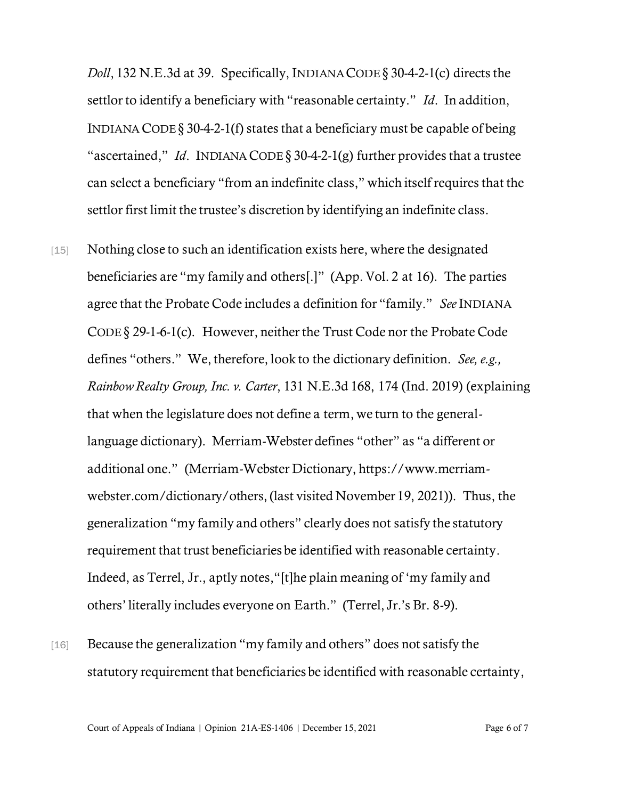*Doll*, 132 N.E.3d at 39. Specifically, INDIANACODE § 30-4-2-1(c) directs the settlor to identify a beneficiary with "reasonable certainty." *Id*. In addition, INDIANA CODE  $\S 30-4-2-1(f)$  states that a beneficiary must be capable of being "ascertained," *Id*. INDIANA CODE § 30-4-2-1(g) further provides that a trustee can select a beneficiary "from an indefinite class," which itself requires that the settlor first limit the trustee's discretion by identifying an indefinite class.

- [15] Nothing close to such an identification exists here, where the designated beneficiaries are "my family and others[.]" (App. Vol. 2 at 16). The parties agree that the Probate Code includes a definition for "family." *See* INDIANA CODE § 29-1-6-1(c). However, neither the Trust Code nor the Probate Code defines "others." We, therefore, look to the dictionary definition. *See, e.g., Rainbow Realty Group, Inc. v. Carter*, 131 N.E.3d 168, 174 (Ind. 2019) (explaining that when the legislature does not define a term, we turn to the generallanguage dictionary). Merriam-Webster defines "other" as "a different or additional one." (Merriam-Webster Dictionary, https://www.merriamwebster.com/dictionary/others, (last visited November 19, 2021)). Thus, the generalization "my family and others" clearly does not satisfy the statutory requirement that trust beneficiaries be identified with reasonable certainty. Indeed, as Terrel, Jr., aptly notes,"[t]he plain meaning of 'my family and others' literally includes everyone on Earth." (Terrel, Jr.'s Br. 8-9).
- [16] Because the generalization "my family and others" does not satisfy the statutory requirement that beneficiaries be identified with reasonable certainty,

Court of Appeals of Indiana | Opinion 21A-ES-1406 | December 15, 2021 Page 6 of 7